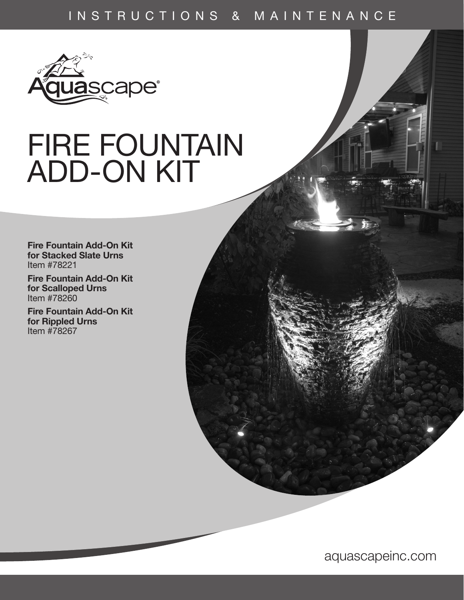# INSTRUCTIONS & MAINTENANCE



# FIRE FOUNTAIN ADD-ON KIT

Fire Fountain Add-On Kit for Stacked Slate Urns Item #78221

Fire Fountain Add-On Kit for Scalloped Urns Item #78260

Fire Fountain Add-On Kit for Rippled Urns Item #78267

aquascapeinc.com